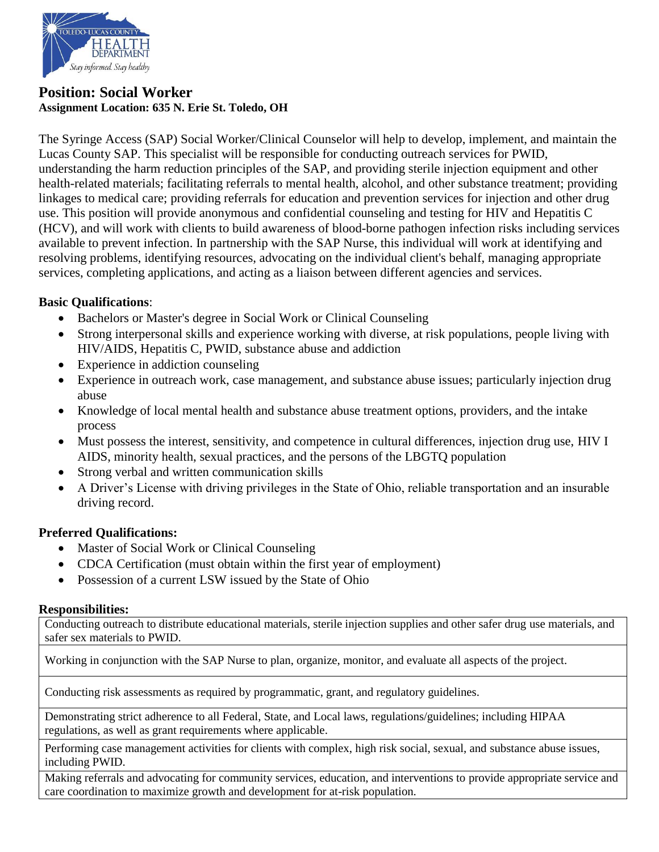

# **Position: Social Worker Assignment Location: 635 N. Erie St. Toledo, OH**

The Syringe Access (SAP) Social Worker/Clinical Counselor will help to develop, implement, and maintain the Lucas County SAP. This specialist will be responsible for conducting outreach services for PWID, understanding the harm reduction principles of the SAP, and providing sterile injection equipment and other health-related materials; facilitating referrals to mental health, alcohol, and other substance treatment; providing linkages to medical care; providing referrals for education and prevention services for injection and other drug use. This position will provide anonymous and confidential counseling and testing for HIV and Hepatitis C (HCV), and will work with clients to build awareness of blood-borne pathogen infection risks including services available to prevent infection. In partnership with the SAP Nurse, this individual will work at identifying and resolving problems, identifying resources, advocating on the individual client's behalf, managing appropriate services, completing applications, and acting as a liaison between different agencies and services.

## **Basic Qualifications**:

- Bachelors or Master's degree in Social Work or Clinical Counseling
- Strong interpersonal skills and experience working with diverse, at risk populations, people living with HIV/AIDS, Hepatitis C, PWID, substance abuse and addiction
- Experience in addiction counseling
- Experience in outreach work, case management, and substance abuse issues; particularly injection drug abuse
- Knowledge of local mental health and substance abuse treatment options, providers, and the intake process
- Must possess the interest, sensitivity, and competence in cultural differences, injection drug use, HIV I AIDS, minority health, sexual practices, and the persons of the LBGTQ population
- Strong verbal and written communication skills
- A Driver's License with driving privileges in the State of Ohio, reliable transportation and an insurable driving record.

## **Preferred Qualifications:**

- Master of Social Work or Clinical Counseling
- CDCA Certification (must obtain within the first year of employment)
- Possession of a current LSW issued by the State of Ohio

#### **Responsibilities:**

Conducting outreach to distribute educational materials, sterile injection supplies and other safer drug use materials, and safer sex materials to PWID.

Working in conjunction with the SAP Nurse to plan, organize, monitor, and evaluate all aspects of the project.

Conducting risk assessments as required by programmatic, grant, and regulatory guidelines.

Demonstrating strict adherence to all Federal, State, and Local laws, regulations/guidelines; including HIPAA regulations, as well as grant requirements where applicable.

Performing case management activities for clients with complex, high risk social, sexual, and substance abuse issues, including PWID.

Making referrals and advocating for community services, education, and interventions to provide appropriate service and care coordination to maximize growth and development for at-risk population.